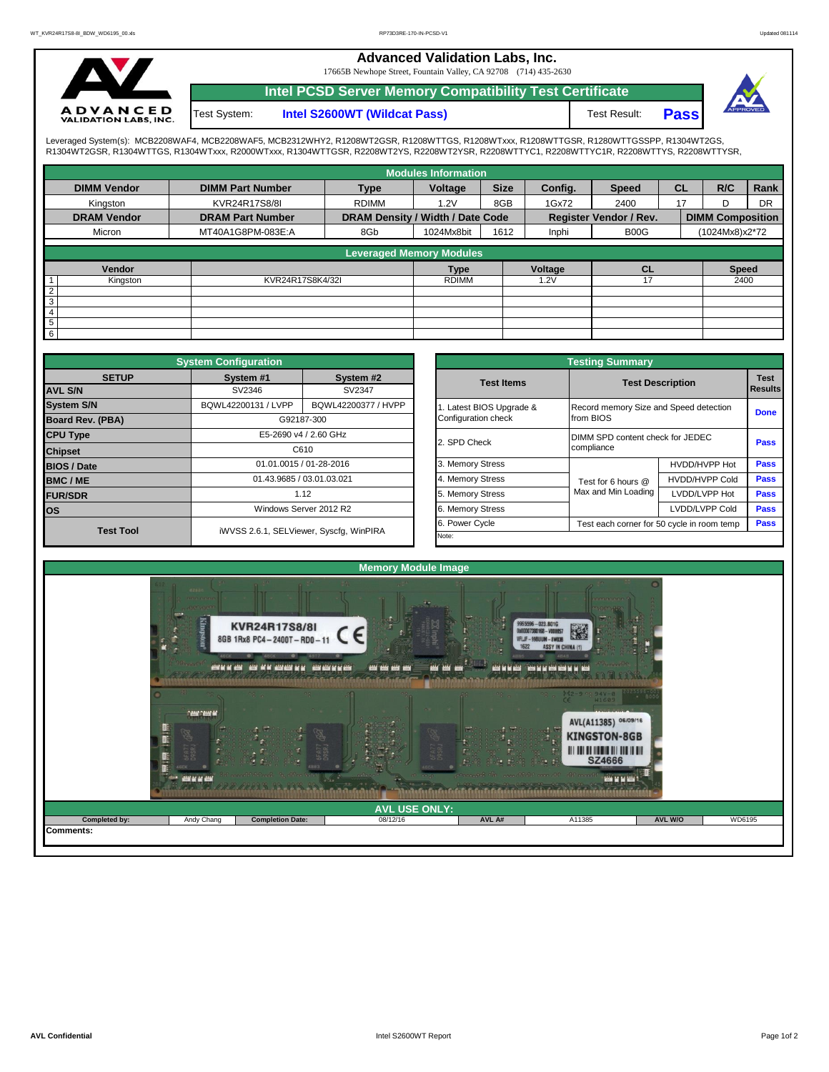## **Advanced Validation Labs, Inc.**

17665B Newhope Street, Fountain Valley, CA 92708 (714) 435-2630



**Intel PCSD Server Memory Compatibility Test Certificate**

Test System:

**Intel S2600WT (Wildcat Pass)** Test Result: **Pass** 



Leveraged System(s): MCB2208WAF4, MCB2208WAF5, MCB2312WHY2, R1208WT2GSR, R1208WTTGS, R1208WTXxx, R1208WTTGSR, R1280WTTGSSPP, R1304WT2GS,<br>R1304WT2GSR, R1304WTTGS, R1304WTxxx, R2000WTxxx, R1304WTTGSR, R2208WT2YS, R2208WT2YS

|                    |                                        |                                  | <b>Modules Information</b> |             |         |                        |           |                         |           |
|--------------------|----------------------------------------|----------------------------------|----------------------------|-------------|---------|------------------------|-----------|-------------------------|-----------|
| <b>DIMM Vendor</b> | <b>DIMM Part Number</b><br><b>Type</b> |                                  | Voltage                    | <b>Size</b> | Config. | <b>Speed</b>           | <b>CL</b> | R/C                     | Rank      |
| Kingston           | KVR24R17S8/8I                          | <b>RDIMM</b>                     | 8GB<br>1.2V                |             | 1Gx72   | 2400                   | 17        | D                       | <b>DR</b> |
| <b>DRAM Vendor</b> | <b>DRAM Part Number</b>                | DRAM Density / Width / Date Code |                            |             |         | Register Vendor / Rev. |           | <b>DIMM Composition</b> |           |
| Micron             | MT40A1G8PM-083E:A                      | 8Gb                              | 1024Mx8bit                 | 1612        | Inphi   | B00G                   |           | (1024Mx8)x2*72          |           |
|                    |                                        | <b>Leveraged Memory Modules</b>  |                            |             |         |                        |           |                         |           |
|                    |                                        |                                  |                            |             |         |                        |           |                         |           |
| Vendor             |                                        |                                  | <b>Type</b>                |             | Voltage | <b>CL</b>              |           | <b>Speed</b>            |           |
| Kingston           | KVR24R17S8K4/32I                       |                                  | <b>RDIMM</b>               |             | 1.2V    |                        |           | 2400                    |           |
| $\overline{2}$     |                                        |                                  |                            |             |         |                        |           |                         |           |
| $\overline{3}$     |                                        |                                  |                            |             |         |                        |           |                         |           |
| $\overline{4}$     |                                        |                                  |                            |             |         |                        |           |                         |           |
| $5\phantom{.0}$    |                                        |                                  |                            |             |         |                        |           |                         |           |
| $6\overline{6}$    |                                        |                                  |                            |             |         |                        |           |                         |           |

|                         | <b>System Configuration</b> |                                         |  | <b>Testing Summary</b> |                                        |                                            |             |  |  |  |  |  |
|-------------------------|-----------------------------|-----------------------------------------|--|------------------------|----------------------------------------|--------------------------------------------|-------------|--|--|--|--|--|
| <b>SETUP</b>            | System #1                   | System #2                               |  | <b>Test Items</b>      |                                        | <b>Test Description</b><br>Results         |             |  |  |  |  |  |
| <b>AVL S/N</b>          | SV2346                      | SV2347                                  |  |                        |                                        |                                            |             |  |  |  |  |  |
| <b>System S/N</b>       | BQWL42200131 / LVPP         | BQWL42200377 / HVPP                     |  | Latest BIOS Upgrade &  | Record memory Size and Speed detection | <b>Done</b>                                |             |  |  |  |  |  |
| <b>Board Rev. (PBA)</b> |                             | G92187-300                              |  | Configuration check    | from BIOS                              |                                            |             |  |  |  |  |  |
| <b>CPU Type</b>         |                             | E5-2690 v4 / 2.60 GHz                   |  | 2. SPD Check           | DIMM SPD content check for JEDEC       |                                            |             |  |  |  |  |  |
| <b>Chipset</b>          |                             | C610                                    |  |                        | compliance                             | <b>Pass</b>                                |             |  |  |  |  |  |
| <b>BIOS / Date</b>      | 01.01.0015 / 01-28-2016     |                                         |  | 3. Memory Stress       |                                        | HVDD/HVPP Hot                              | <b>Pass</b> |  |  |  |  |  |
| <b>BMC/ME</b>           | 01.43.9685 / 03.01.03.021   |                                         |  | 4. Memory Stress       | Test for 6 hours @                     | <b>HVDD/HVPP Cold</b>                      | <b>Pass</b> |  |  |  |  |  |
| <b>FUR/SDR</b>          |                             | 1.12                                    |  | 5. Memory Stress       | Max and Min Loading                    | LVDD/LVPP Hot                              | <b>Pass</b> |  |  |  |  |  |
| <b>los</b>              |                             | Windows Server 2012 R2                  |  | 6. Memory Stress       |                                        | LVDD/LVPP Cold                             | Pass        |  |  |  |  |  |
| <b>Test Tool</b>        |                             | iWVSS 2.6.1, SELViewer, Syscfq, WinPIRA |  | 6. Power Cycle         |                                        | Test each corner for 50 cycle in room temp |             |  |  |  |  |  |
|                         |                             |                                         |  | Note:                  |                                        |                                            |             |  |  |  |  |  |

|              | <b>System Configuration</b> |                                         |                       | <b>Testing Summary</b>                         |                       |  |  |  |  |  |
|--------------|-----------------------------|-----------------------------------------|-----------------------|------------------------------------------------|-----------------------|--|--|--|--|--|
| <b>SETUP</b> | System #1                   | System #2                               | <b>Test Items</b>     | <b>Test Description</b>                        |                       |  |  |  |  |  |
|              | SV2346                      | SV2347                                  |                       |                                                |                       |  |  |  |  |  |
|              | BQWL42200131 / LVPP         | BQWL42200377 / HVPP                     | Latest BIOS Upgrade & | Record memory Size and Speed detection         |                       |  |  |  |  |  |
| PBA)         |                             | G92187-300                              | Configuration check   | from BIOS                                      |                       |  |  |  |  |  |
|              |                             | E5-2690 v4 / 2.60 GHz                   | 2. SPD Check          | DIMM SPD content check for JEDEC<br>compliance |                       |  |  |  |  |  |
|              |                             | C610                                    |                       |                                                |                       |  |  |  |  |  |
|              |                             | 01.01.0015 / 01-28-2016                 | 3. Memory Stress      |                                                | HVDD/HVPP Hot         |  |  |  |  |  |
|              |                             | 01.43.9685 / 03.01.03.021               | 4. Memory Stress      | Test for 6 hours @                             | <b>HVDD/HVPP Cold</b> |  |  |  |  |  |
|              |                             | 1.12                                    | 5. Memory Stress      | Max and Min Loading                            | LVDD/LVPP Hot         |  |  |  |  |  |
|              |                             | Windows Server 2012 R2                  | 6. Memory Stress      |                                                | LVDD/LVPP Cold        |  |  |  |  |  |
|              |                             |                                         | 6. Power Cycle        | Test each corner for 50 cycle in room temp     |                       |  |  |  |  |  |
| est Tool     |                             | iWVSS 2.6.1, SELViewer, Syscfg, WinPIRA | Note:                 |                                                |                       |  |  |  |  |  |